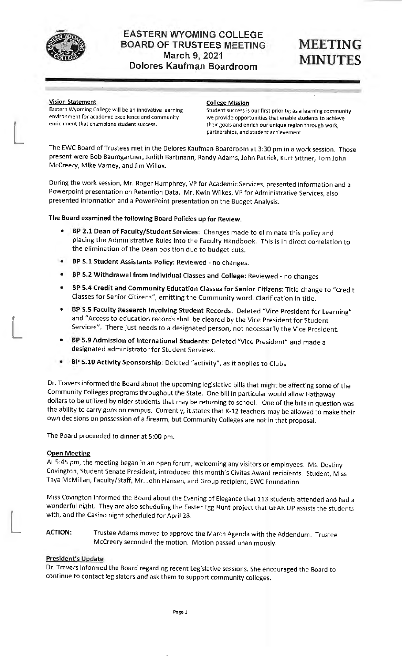

**Vision Statement College Mission**<br> **Eastern Wyoming College will be an innovative learning Student success is** 

Eastern Wyoming College will be an innovative learning Student success is our first priority; as **a** learning community environment for academic excellence and community we provide opportunities that enable students to achieve<br>enrichment that champions student success. their goals and enrich our unique region thr their goals and enrich our unique region through work, partnerships, and student achievement.

The EWC Board of Trustees met in the Delores Kaufman Boardroom at 3:30 pm in a work session. Those present were Bob Baumgartner, Judith Bartmann, Randy Adams, John Patrick, Kurt Sittner, Tom John Mccreery, Mike Varney, and Jim Willox.

During the work session, Mr. Roger Humphrey, VP for Academic Services, presented information and a Powerpoint presentation on Retention Data. Mr. Kwin Wilkes, VP for Administrative Services, also presented information and a PowerPoint presentation on the Budget Analysis.

## **The Board examined the following Board Policies up for Review.**

- **BP 2.1 Dean of Faculty/Student Services:** Changes made to eliminate this policy and placing the Administrative Rules into the Faculty Handbook. This is in direct correlation to the elimination of the Dean position due to budget cuts.
- **BP 5.1 Student Assistants Policy:** Reviewed no changes.
- **BP 5.2 Withdrawal from Individual Classes and College:** Reviewed no changes
- **BP 5.4 Credit and Community Education Classes for Senior Citizens:** Title change to "Credit Classes for Senior Citizens", emitting the Community word. Clarification in title.
- **BP 5.5 Faculty Research Involving Student Records:** Deleted "Vice President for Learning" and "Access to education records shall be cleared by the Vice President for Student Services". There just needs to a designated person, not necessarily the Vice President.
- **BP 5.9 Admission of International Students:** Deleted "Vice President" and made a designated administrator for Student Services.
- **BP 5.10 Activity Sponsorship:** Deleted "activity", as it applies to Clubs.

Dr. Travers informed the Board about the upcoming legislative bills that might be affecting some of the Community Colleges programs throughout the State. One bill in particular would allow Hathaway dollars to be utilized by older students that may be returning to school. One of the bills in question was the ability to carry guns on campus. Currently, it states that K-12 teachers may be allowed to make their own decisions on possession of a firearm, but Community Colleges are not in that proposal.

The Board proceeded to dinner at 5:00 pm.

### **Open Meeting**

-

At 5:45 pm, the meeting began in an open forum, welcoming any visitors or employees. Ms. Destiny Covington, Student Senate President, introduced this month's Civitas Award recipients. Student, Miss Taya McMillan, Faculty/Staff, Mr. John Hansen, and Group recipient, EWC Foundation.

Mlss Covington informed the Board about the Evening of Elegance that 113 students attended and had a wonderful night. They are also scheduling the Easter Egg Hunt project that GEAR UP assists the students with, and the Casino night scheduled for April 28.

**ACTION:** Trustee Adams moved to approve the March Agenda with the Addendum. Trustee Mccreery seconded the motion. Motion passed unanimously.

## **President's Update**

Dr. Travers informed the Board regarding recent Legislative sessions. She encouraged the Board to continue to contact legislators and ask them to support community colleges.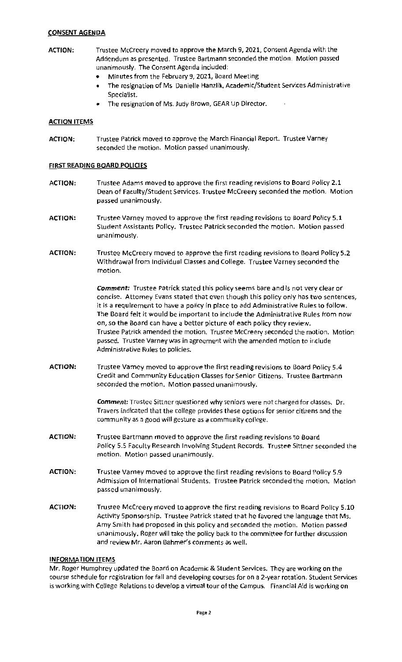# **CONSENT AGENDA**

- **ACTION:** Trustee Mccreery moved to approve the March 9, 2021, Consent Agenda with the Addendum as presented. Trustee Bartmann seconded the motion. Motion passed unanimously. The Consent Agenda included:
	- Minutes from the February 9, 2021, Board Meeting
	- The resignation of Ms. Danielle Hanzlik, Academic/Student Services Administrative Specialist.
	- The resignation of Ms. Judy Brown, GEAR Up Director.

## **ACTION ITEMS**

**ACTION:** Trustee Patrick moved to approve the March Financial Report. Trustee Varney seconded the motion. Motion passed unanimously.

## **FIRST READING BOARD POLICIES**

- **ACTION:** Trustee Adams moved to approve the first reading revisions to Board Policy 2.1 Dean of Faculty/Student Services. Trustee Mccreery seconded the motion. Motion passed unanimously.
- **ACTION:** Trustee Varney moved to approve the first reading revisions to Board Policy 5.1 Student Assistants Policy. Trustee Patrick seconded the motion. Motion passed unanimously.
- **ACTION:** Trustee Mccreery moved to approve the first reading revisions to Board Policy 5.2 Withdrawal from Individual Classes and College. Trustee Varney seconded the motion.

**Comment:** Trustee Patrick stated this policy seems bare and is not very clear or concise. Attorney Evans stated that even though this policy only has two sentences, it is a requirement to have a policy in place to add Administrative Rules to follow. The Board felt it would be important to include the Administrative Rules from now on, so the Board can have a better picture of each policy they review. Trustee Patrick amended the motion. Trustee Mccreery seconded the motion. Motion passed. Trustee Varney was in agreement with the amended motion to include Administrative Rules to policies.

**ACTION:** Trustee Varney moved to approve the first reading revisions **to** Board Policy 5.4 Credit and Community Education Classes for Senior Citizens. Trustee Bartmann seconded the motion. Motion passed unanimously.

> *Comment:* Trustee Sittner questioned why seniors were not charged for classes. Dr. Travers indicated that the college provides these options for senior citizens and the community as a good will gesture as a community college.

- **ACTION:** Trustee Bartmann moved to approve the first reading revisions to Board Policy 5.5 Faculty Research Involving Student Records. Trustee Sittner seconded the motion. Motion passed unanimously.
- **ACTION:** Trustee Varney moved to approve the first reading revisions to Board Policy 5.9 Admission of International Students. Trustee Patrick seconded the motion. Motion passed unanimously.
- **ACTION:** Trustee Mccreery moved to approve the first reading revisions to Board Policy 5.10 Activity Sponsorship. Trustee Patrick stated that he favored the language that Ms. Amy Smith had proposed in this policy and seconded the motion. Motion passed unanimously. Roger will take the policy back to the committee for further discussion and review Mr. Aaron Bahmer's comments as well.

### **INFORMATION ITEMS**

Mr. Roger Humphrey updated the Board on Academic & Student Services. They are working on the course schedule for registration for fall and developing courses for on a 2-year rotation. Student Services is working with College Relations to develop a virtual tour of the Campus. Financial Aid is working on